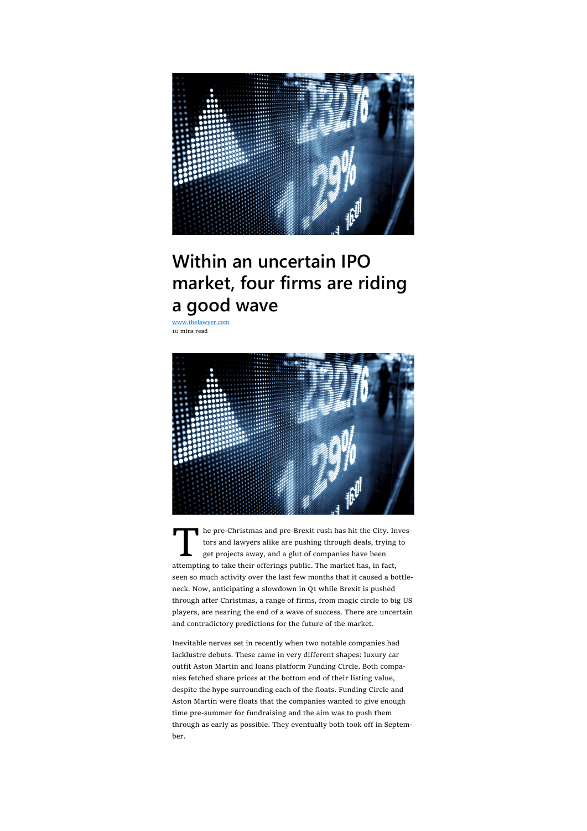

# Within an uncertain IPO market, four firms are riding a good wave

www.thelawyer.com 10 mins read



The pre-Christmas and pre-Brexit rush has hit the City. Inverse and lawyers alike are pushing through deals, trying the get projects away, and a glut of companies have been attempting to take their offerings public. The ma he pre-Christmas and pre-Brexit rush has hit the City. Investors and lawyers alike are pushing through deals, trying to get projects away, and a glut of companies have been seen so much activity over the last few months that it caused a bottleneck. Now, anticipating a slowdown in Q1 while Brexit is pushed through after Christmas, a range of firms, from magic circle to big US players, are nearing the end of a wave of success. There are uncertain and contradictory predictions for the future of the market.

Inevitable nerves set in recently when two notable companies had lacklustre debuts. These came in very different shapes: luxury car outfit Aston Martin and loans platform Funding Circle. Both companies fetched share prices at the bottom end of their listing value, despite the hype surrounding each of the floats. Funding Circle and Aston Martin were floats that the companies wanted to give enough time pre-summer for fundraising and the aim was to push them through as early as possible. They eventually both took off in September.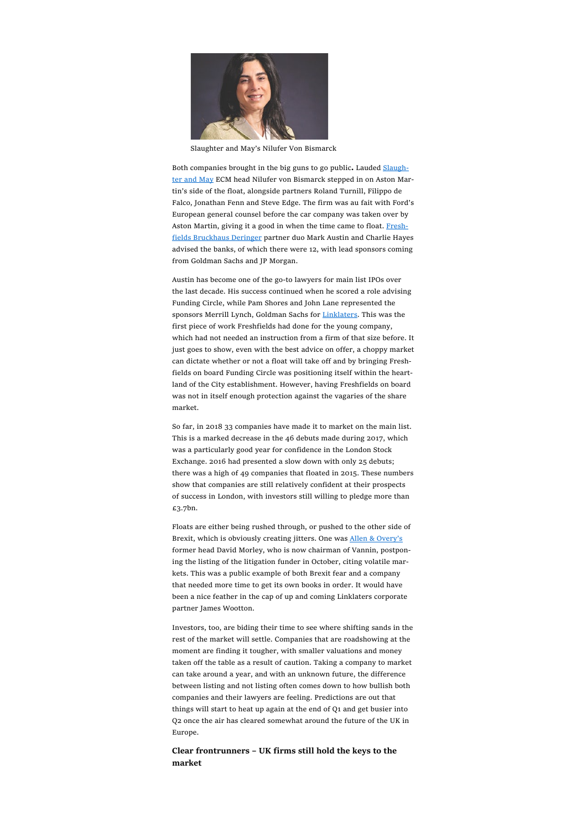

Slaughter and May's Nilufer Von Bismarck

Both companies brought in the big guns to go public. Lauded Slaughter and May ECM head Nilufer von Bismarck stepped in on Aston Martin's side of the float, alongside partners Roland Turnill, Filippo de Falco, Jonathan Fenn and Steve Edge. The firm was au fait with Ford's European general counsel before the car company was taken over by Aston Martin, giving it a good in when the time came to float. Freshfields Bruckhaus Deringer partner duo Mark Austin and Charlie Hayes advised the banks, of which there were 12, with lead sponsors coming from Goldman Sachs and JP Morgan.

Austin has become one of the go-to lawyers for main list IPOs over the last decade. His success continued when he scored a role advising Funding Circle, while Pam Shores and John Lane represented the sponsors Merrill Lynch, Goldman Sachs for Linklaters. This was the first piece of work Freshfields had done for the young company, which had not needed an instruction from a firm of that size before. It just goes to show, even with the best advice on offer, a choppy market can dictate whether or not a float will take off and by bringing Freshfields on board Funding Circle was positioning itself within the heartland of the City establishment. However, having Freshfields on board was not in itself enough protection against the vagaries of the share market.

So far, in 2018 33 companies have made it to market on the main list. This is a marked decrease in the 46 debuts made during 2017, which was a particularly good year for confidence in the London Stock Exchange. 2016 had presented a slow down with only 25 debuts; there was a high of 49 companies that floated in 2015. These numbers show that companies are still relatively confident at their prospects of success in London, with investors still willing to pledge more than £3.7bn.

Floats are either being rushed through, or pushed to the other side of Brexit, which is obviously creating jitters. One was Allen & Overy's former head David Morley, who is now chairman of Vannin, postponing the listing of the litigation funder in October, citing volatile markets. This was a public example of both Brexit fear and a company that needed more time to get its own books in order. It would have been a nice feather in the cap of up and coming Linklaters corporate partner James Wootton.

Investors, too, are biding their time to see where shifting sands in the rest of the market will settle. Companies that are roadshowing at the moment are finding it tougher, with smaller valuations and money taken off the table as a result of caution. Taking a company to market can take around a year, and with an unknown future, the difference between listing and not listing often comes down to how bullish both companies and their lawyers are feeling. Predictions are out that things will start to heat up again at the end of Q1 and get busier into Q2 once the air has cleared somewhat around the future of the UK in Europe.

Clear frontrunners – UK firms still hold the keys to the market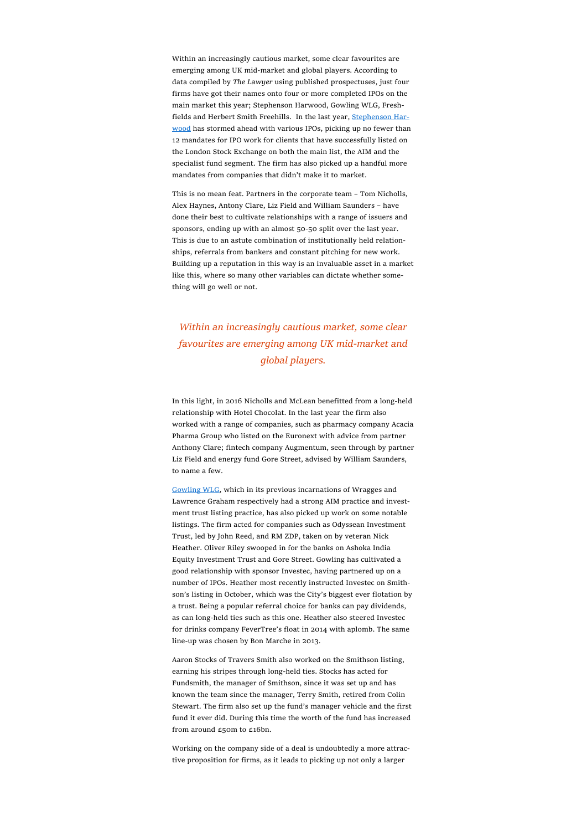Within an increasingly cautious market, some clear favourites are emerging among UK mid-market and global players. According to data compiled by The Lawyer using published prospectuses, just four firms have got their names onto four or more completed IPOs on the main market this year; Stephenson Harwood, Gowling WLG, Freshfields and Herbert Smith Freehills. In the last year, Stephenson Harwood has stormed ahead with various IPOs, picking up no fewer than 12 mandates for IPO work for clients that have successfully listed on the London Stock Exchange on both the main list, the AIM and the specialist fund segment. The firm has also picked up a handful more mandates from companies that didn't make it to market.

This is no mean feat. Partners in the corporate team – Tom Nicholls, Alex Haynes, Antony Clare, Liz Field and William Saunders – have done their best to cultivate relationships with a range of issuers and sponsors, ending up with an almost 50-50 split over the last year. This is due to an astute combination of institutionally held relationships, referrals from bankers and constant pitching for new work. Building up a reputation in this way is an invaluable asset in a market like this, where so many other variables can dictate whether something will go well or not.

## Within an increasingly cautious market, some clear favourites are emerging among UK mid-market and global players.

In this light, in 2016 Nicholls and McLean benefitted from a long-held relationship with Hotel Chocolat. In the last year the firm also worked with a range of companies, such as pharmacy company Acacia Pharma Group who listed on the Euronext with advice from partner Anthony Clare; fintech company Augmentum, seen through by partner Liz Field and energy fund Gore Street, advised by William Saunders, to name a few.

Gowling WLG, which in its previous incarnations of Wragges and Lawrence Graham respectively had a strong AIM practice and investment trust listing practice, has also picked up work on some notable listings. The firm acted for companies such as Odyssean Investment Trust, led by John Reed, and RM ZDP, taken on by veteran Nick Heather. Oliver Riley swooped in for the banks on Ashoka India Equity Investment Trust and Gore Street. Gowling has cultivated a good relationship with sponsor Investec, having partnered up on a number of IPOs. Heather most recently instructed Investec on Smithson's listing in October, which was the City's biggest ever flotation by a trust. Being a popular referral choice for banks can pay dividends, as can long-held ties such as this one. Heather also steered Investec for drinks company FeverTree's float in 2014 with aplomb. The same line-up was chosen by Bon Marche in 2013.

Aaron Stocks of Travers Smith also worked on the Smithson listing, earning his stripes through long-held ties. Stocks has acted for Fundsmith, the manager of Smithson, since it was set up and has known the team since the manager, Terry Smith, retired from Colin Stewart. The firm also set up the fund's manager vehicle and the first fund it ever did. During this time the worth of the fund has increased from around £50m to £16bn.

Working on the company side of a deal is undoubtedly a more attractive proposition for firms, as it leads to picking up not only a larger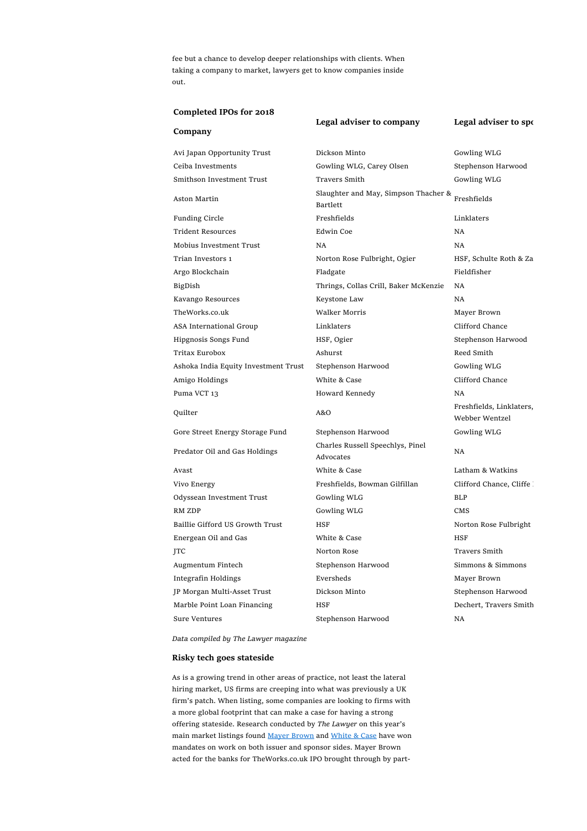fee but a chance to develop deeper relationships with clients. When taking a company to market, lawyers get to know companies inside out.

### Completed IPOs for 2018

| Company                              |                                                  |                                            |
|--------------------------------------|--------------------------------------------------|--------------------------------------------|
| Avi Japan Opportunity Trust          | Dickson Minto                                    | Gowling WLG                                |
| Ceiba Investments                    | Gowling WLG, Carey Olsen                         | Stephenson Harwood                         |
| Smithson Investment Trust            | Travers Smith                                    | Gowling WLG                                |
| Aston Martin                         | Slaughter and May, Simpson Thacher &<br>Bartlett | Freshfields                                |
| <b>Funding Circle</b>                | Freshfields                                      | Linklaters                                 |
| <b>Trident Resources</b>             | Edwin Coe                                        | <b>NA</b>                                  |
| Mobius Investment Trust              | NA.                                              | <b>NA</b>                                  |
| Trian Investors 1                    | Norton Rose Fulbright, Ogier                     | HSF, Schulte Roth & Za                     |
| Argo Blockchain                      | Fladgate                                         | Fieldfisher                                |
| BigDish                              | Thrings, Collas Crill, Baker McKenzie            | <b>NA</b>                                  |
| Kavango Resources                    | Keystone Law                                     | <b>NA</b>                                  |
| TheWorks.co.uk                       | <b>Walker Morris</b>                             | Mayer Brown                                |
| ASA International Group              | Linklaters                                       | Clifford Chance                            |
| Hipgnosis Songs Fund                 | HSF, Ogier                                       | Stephenson Harwood                         |
| Tritax Eurobox                       | Ashurst                                          | Reed Smith                                 |
| Ashoka India Equity Investment Trust | Stephenson Harwood                               | Gowling WLG                                |
| Amigo Holdings                       | White & Case                                     | Clifford Chance                            |
| Puma VCT 13                          | Howard Kennedy                                   | <b>NA</b>                                  |
| Quilter                              | A&O                                              | Freshfields, Linklaters,<br>Webber Wentzel |
| Gore Street Energy Storage Fund      | Stephenson Harwood                               | Gowling WLG                                |
| Predator Oil and Gas Holdings        | Charles Russell Speechlys, Pinel<br>Advocates    | <b>NA</b>                                  |
| Avast                                | White & Case                                     | Latham & Watkins                           |
| Vivo Energy                          | Freshfields, Bowman Gilfillan                    | Clifford Chance, Cliffe !                  |
| Odyssean Investment Trust            | Gowling WLG                                      | <b>BLP</b>                                 |
| RM ZDP                               | Gowling WLG                                      | CMS                                        |
| Baillie Gifford US Growth Trust      | HSF                                              | Norton Rose Fulbright                      |
| Energean Oil and Gas                 | White & Case                                     | <b>HSF</b>                                 |
| JTC                                  | Norton Rose                                      | Travers Smith                              |
| Augmentum Fintech                    | Stephenson Harwood                               | Simmons & Simmons                          |
| Integrafin Holdings                  | Eversheds                                        | Mayer Brown                                |
| JP Morgan Multi-Asset Trust          | Dickson Minto                                    | Stephenson Harwood                         |
| Marble Point Loan Financing          | HSF                                              | Dechert, Travers Smith                     |
| Sure Ventures                        | Stephenson Harwood                               | <b>NA</b>                                  |

Legal adviser to company Legal adviser to sponsor

Data compiled by The Lawyer magazine

#### Risky tech goes stateside

As is a growing trend in other areas of practice, not least the lateral hiring market, US firms are creeping into what was previously a UK firm's patch. When listing, some companies are looking to firms with a more global footprint that can make a case for having a strong offering stateside. Research conducted by The Lawyer on this year's main market listings found Mayer Brown and White & Case have won mandates on work on both issuer and sponsor sides. Mayer Brown acted for the banks for TheWorks.co.uk IPO brought through by part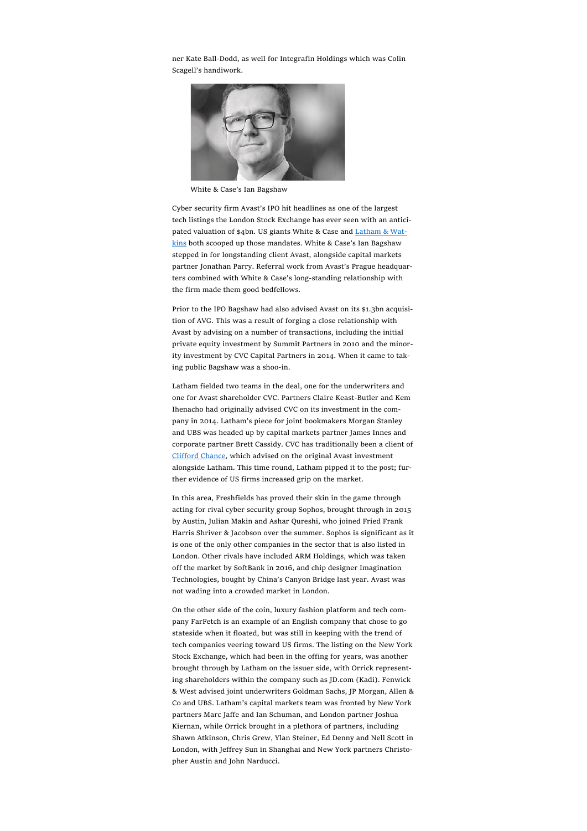ner Kate Ball-Dodd, as well for Integrafin Holdings which was Colin Scagell's handiwork.



White & Case's Ian Bagshaw

Cyber security firm Avast's IPO hit headlines as one of the largest tech listings the London Stock Exchange has ever seen with an anticipated valuation of \$4bn. US giants White & Case and Latham & Watkins both scooped up those mandates. White & Case's Ian Bagshaw stepped in for longstanding client Avast, alongside capital markets partner Jonathan Parry. Referral work from Avast's Prague headquarters combined with White & Case's long-standing relationship with the firm made them good bedfellows.

Prior to the IPO Bagshaw had also advised Avast on its \$1.3bn acquisition of AVG. This was a result of forging a close relationship with Avast by advising on a number of transactions, including the initial private equity investment by Summit Partners in 2010 and the minority investment by CVC Capital Partners in 2014. When it came to taking public Bagshaw was a shoo-in.

Latham fielded two teams in the deal, one for the underwriters and one for Avast shareholder CVC. Partners Claire Keast-Butler and Kem Ihenacho had originally advised CVC on its investment in the company in 2014. Latham's piece for joint bookmakers Morgan Stanley and UBS was headed up by capital markets partner James Innes and corporate partner Brett Cassidy. CVC has traditionally been a client of Clifford Chance, which advised on the original Avast investment alongside Latham. This time round, Latham pipped it to the post; further evidence of US firms increased grip on the market.

In this area, Freshfields has proved their skin in the game through acting for rival cyber security group Sophos, brought through in 2015 by Austin, Julian Makin and Ashar Qureshi, who joined Fried Frank Harris Shriver & Jacobson over the summer. Sophos is significant as it is one of the only other companies in the sector that is also listed in London. Other rivals have included ARM Holdings, which was taken off the market by SoftBank in 2016, and chip designer Imagination Technologies, bought by China's Canyon Bridge last year. Avast was not wading into a crowded market in London.

On the other side of the coin, luxury fashion platform and tech company FarFetch is an example of an English company that chose to go stateside when it floated, but was still in keeping with the trend of tech companies veering toward US firms. The listing on the New York Stock Exchange, which had been in the offing for years, was another brought through by Latham on the issuer side, with Orrick representing shareholders within the company such as JD.com (Kadi). Fenwick & West advised joint underwriters Goldman Sachs, JP Morgan, Allen & Co and UBS. Latham's capital markets team was fronted by New York partners Marc Jaffe and Ian Schuman, and London partner Joshua Kiernan, while Orrick brought in a plethora of partners, including Shawn Atkinson, Chris Grew, Ylan Steiner, Ed Denny and Nell Scott in London, with Jeffrey Sun in Shanghai and New York partners Christopher Austin and John Narducci.